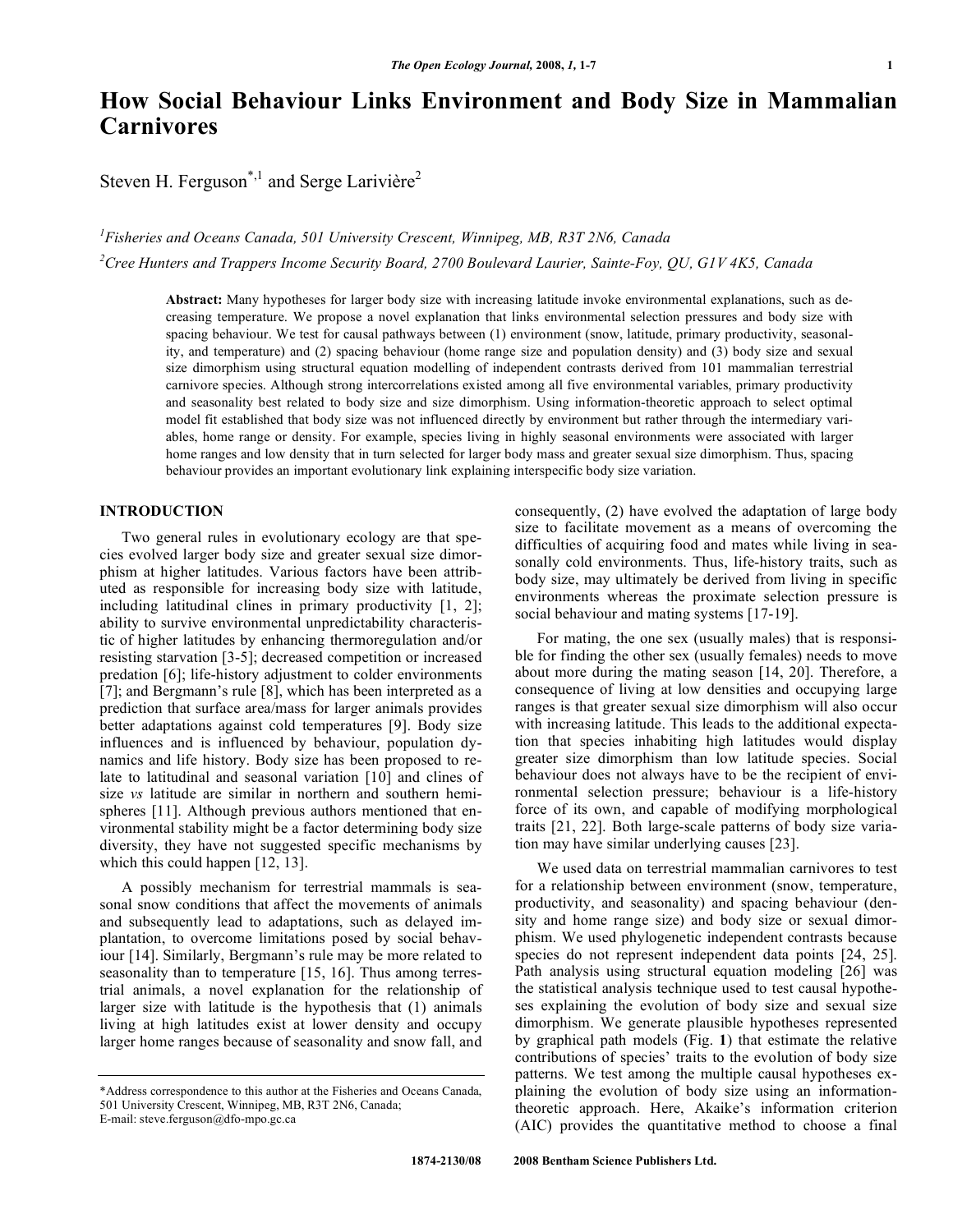# **How Social Behaviour Links Environment and Body Size in Mammalian Carnivores**

Steven H. Ferguson<sup>\*,1</sup> and Serge Larivière<sup>2</sup>

*1 Fisheries and Oceans Canada, 501 University Crescent, Winnipeg, MB, R3T 2N6, Canada 2 Cree Hunters and Trappers Income Security Board, 2700 Boulevard Laurier, Sainte-Foy, QU, G1V 4K5, Canada* 

**Abstract:** Many hypotheses for larger body size with increasing latitude invoke environmental explanations, such as decreasing temperature. We propose a novel explanation that links environmental selection pressures and body size with spacing behaviour. We test for causal pathways between (1) environment (snow, latitude, primary productivity, seasonality, and temperature) and (2) spacing behaviour (home range size and population density) and (3) body size and sexual size dimorphism using structural equation modelling of independent contrasts derived from 101 mammalian terrestrial carnivore species. Although strong intercorrelations existed among all five environmental variables, primary productivity and seasonality best related to body size and size dimorphism. Using information-theoretic approach to select optimal model fit established that body size was not influenced directly by environment but rather through the intermediary variables, home range or density. For example, species living in highly seasonal environments were associated with larger home ranges and low density that in turn selected for larger body mass and greater sexual size dimorphism. Thus, spacing behaviour provides an important evolutionary link explaining interspecific body size variation.

# **INTRODUCTION**

Two general rules in evolutionary ecology are that species evolved larger body size and greater sexual size dimorphism at higher latitudes. Various factors have been attributed as responsible for increasing body size with latitude, including latitudinal clines in primary productivity [1, 2]; ability to survive environmental unpredictability characteristic of higher latitudes by enhancing thermoregulation and/or resisting starvation [3-5]; decreased competition or increased predation [6]; life-history adjustment to colder environments [7]; and Bergmann's rule [8], which has been interpreted as a prediction that surface area/mass for larger animals provides better adaptations against cold temperatures [9]. Body size influences and is influenced by behaviour, population dynamics and life history. Body size has been proposed to relate to latitudinal and seasonal variation [10] and clines of size *vs* latitude are similar in northern and southern hemispheres [11]. Although previous authors mentioned that environmental stability might be a factor determining body size diversity, they have not suggested specific mechanisms by which this could happen [12, 13].

 A possibly mechanism for terrestrial mammals is seasonal snow conditions that affect the movements of animals and subsequently lead to adaptations, such as delayed implantation, to overcome limitations posed by social behaviour [14]. Similarly, Bergmann's rule may be more related to seasonality than to temperature [15, 16]. Thus among terrestrial animals, a novel explanation for the relationship of larger size with latitude is the hypothesis that (1) animals living at high latitudes exist at lower density and occupy larger home ranges because of seasonality and snow fall, and

consequently, (2) have evolved the adaptation of large body size to facilitate movement as a means of overcoming the difficulties of acquiring food and mates while living in seasonally cold environments. Thus, life-history traits, such as body size, may ultimately be derived from living in specific environments whereas the proximate selection pressure is social behaviour and mating systems [17-19].

 For mating, the one sex (usually males) that is responsible for finding the other sex (usually females) needs to move about more during the mating season [14, 20]. Therefore, a consequence of living at low densities and occupying large ranges is that greater sexual size dimorphism will also occur with increasing latitude. This leads to the additional expectation that species inhabiting high latitudes would display greater size dimorphism than low latitude species. Social behaviour does not always have to be the recipient of environmental selection pressure; behaviour is a life-history force of its own, and capable of modifying morphological traits [21, 22]. Both large-scale patterns of body size variation may have similar underlying causes [23].

 We used data on terrestrial mammalian carnivores to test for a relationship between environment (snow, temperature, productivity, and seasonality) and spacing behaviour (density and home range size) and body size or sexual dimorphism. We used phylogenetic independent contrasts because species do not represent independent data points [24, 25]. Path analysis using structural equation modeling [26] was the statistical analysis technique used to test causal hypotheses explaining the evolution of body size and sexual size dimorphism. We generate plausible hypotheses represented by graphical path models (Fig. **1**) that estimate the relative contributions of species' traits to the evolution of body size patterns. We test among the multiple causal hypotheses explaining the evolution of body size using an informationtheoretic approach. Here, Akaike's information criterion (AIC) provides the quantitative method to choose a final

<sup>\*</sup>Address correspondence to this author at the Fisheries and Oceans Canada, 501 University Crescent, Winnipeg, MB, R3T 2N6, Canada; E-mail: steve.ferguson@dfo-mpo.gc.ca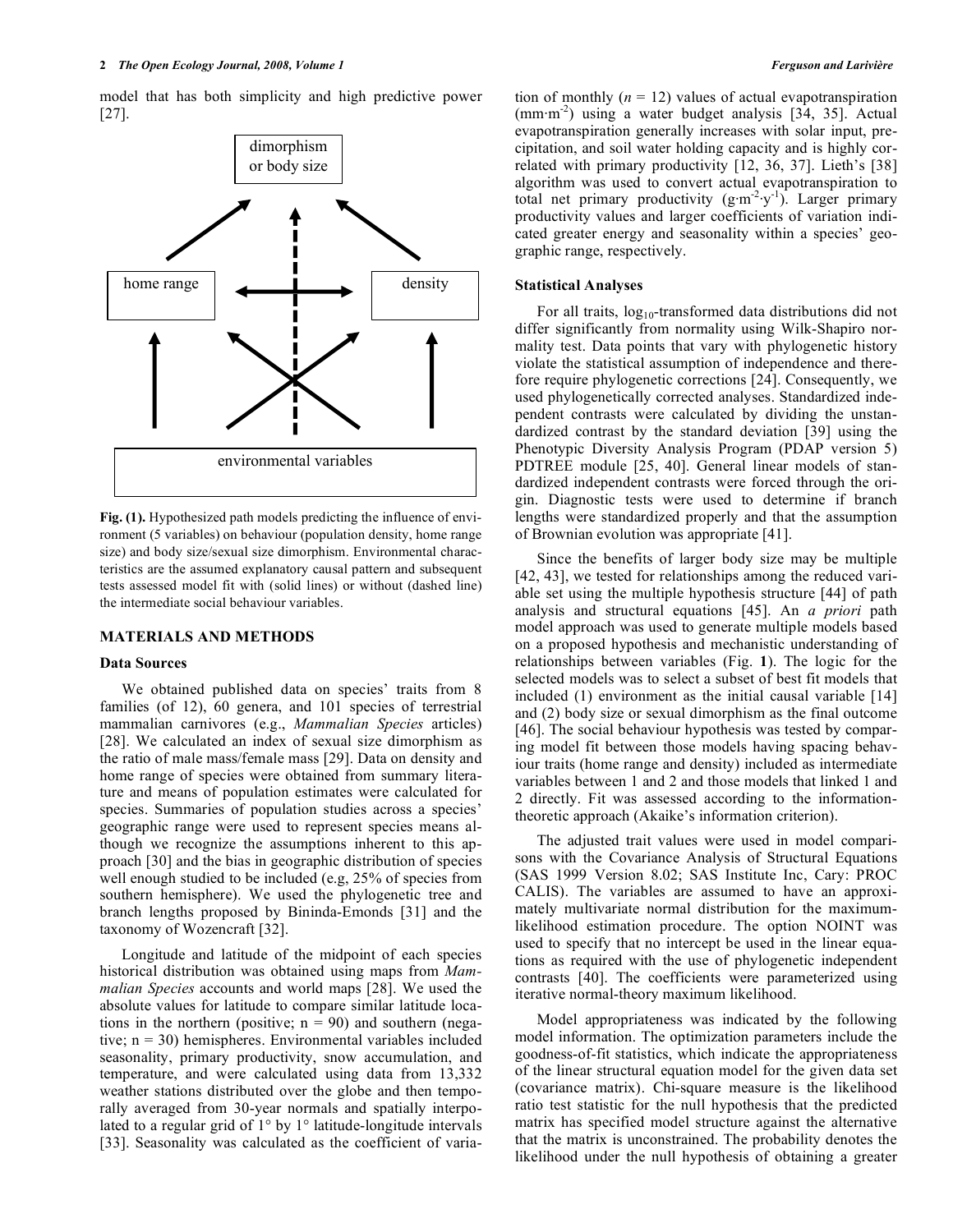model that has both simplicity and high predictive power [27].



**Fig. (1).** Hypothesized path models predicting the influence of environment (5 variables) on behaviour (population density, home range size) and body size/sexual size dimorphism. Environmental characteristics are the assumed explanatory causal pattern and subsequent tests assessed model fit with (solid lines) or without (dashed line) the intermediate social behaviour variables.

#### **MATERIALS AND METHODS**

#### **Data Sources**

 We obtained published data on species' traits from 8 families (of 12), 60 genera, and 101 species of terrestrial mammalian carnivores (e.g., *Mammalian Species* articles) [28]. We calculated an index of sexual size dimorphism as the ratio of male mass/female mass [29]. Data on density and home range of species were obtained from summary literature and means of population estimates were calculated for species. Summaries of population studies across a species' geographic range were used to represent species means although we recognize the assumptions inherent to this approach [30] and the bias in geographic distribution of species well enough studied to be included (e.g, 25% of species from southern hemisphere). We used the phylogenetic tree and branch lengths proposed by Bininda-Emonds [31] and the taxonomy of Wozencraft [32].

 Longitude and latitude of the midpoint of each species historical distribution was obtained using maps from *Mammalian Species* accounts and world maps [28]. We used the absolute values for latitude to compare similar latitude locations in the northern (positive;  $n = 90$ ) and southern (negative; n = 30) hemispheres. Environmental variables included seasonality, primary productivity, snow accumulation, and temperature, and were calculated using data from 13,332 weather stations distributed over the globe and then temporally averaged from 30-year normals and spatially interpolated to a regular grid of 1° by 1° latitude-longitude intervals [33]. Seasonality was calculated as the coefficient of variation of monthly  $(n = 12)$  values of actual evapotranspiration  $(mm·m<sup>-2</sup>)$  using a water budget analysis [34, 35]. Actual evapotranspiration generally increases with solar input, precipitation, and soil water holding capacity and is highly correlated with primary productivity [12, 36, 37]. Lieth's [38] algorithm was used to convert actual evapotranspiration to total net primary productivity  $(g \cdot m^{-2} \cdot y^{-1})$ . Larger primary productivity values and larger coefficients of variation indicated greater energy and seasonality within a species' geographic range, respectively.

#### **Statistical Analyses**

For all traits,  $log_{10}$ -transformed data distributions did not differ significantly from normality using Wilk-Shapiro normality test. Data points that vary with phylogenetic history violate the statistical assumption of independence and therefore require phylogenetic corrections [24]. Consequently, we used phylogenetically corrected analyses. Standardized independent contrasts were calculated by dividing the unstandardized contrast by the standard deviation [39] using the Phenotypic Diversity Analysis Program (PDAP version 5) PDTREE module [25, 40]. General linear models of standardized independent contrasts were forced through the origin. Diagnostic tests were used to determine if branch lengths were standardized properly and that the assumption of Brownian evolution was appropriate [41].

 Since the benefits of larger body size may be multiple [42, 43], we tested for relationships among the reduced variable set using the multiple hypothesis structure [44] of path analysis and structural equations [45]. An *a priori* path model approach was used to generate multiple models based on a proposed hypothesis and mechanistic understanding of relationships between variables (Fig. **1**). The logic for the selected models was to select a subset of best fit models that included (1) environment as the initial causal variable [14] and (2) body size or sexual dimorphism as the final outcome [46]. The social behaviour hypothesis was tested by comparing model fit between those models having spacing behaviour traits (home range and density) included as intermediate variables between 1 and 2 and those models that linked 1 and 2 directly. Fit was assessed according to the informationtheoretic approach (Akaike's information criterion).

 The adjusted trait values were used in model comparisons with the Covariance Analysis of Structural Equations (SAS 1999 Version 8.02; SAS Institute Inc, Cary: PROC CALIS). The variables are assumed to have an approximately multivariate normal distribution for the maximumlikelihood estimation procedure. The option NOINT was used to specify that no intercept be used in the linear equations as required with the use of phylogenetic independent contrasts [40]. The coefficients were parameterized using iterative normal-theory maximum likelihood.

 Model appropriateness was indicated by the following model information. The optimization parameters include the goodness-of-fit statistics, which indicate the appropriateness of the linear structural equation model for the given data set (covariance matrix). Chi-square measure is the likelihood ratio test statistic for the null hypothesis that the predicted matrix has specified model structure against the alternative that the matrix is unconstrained. The probability denotes the likelihood under the null hypothesis of obtaining a greater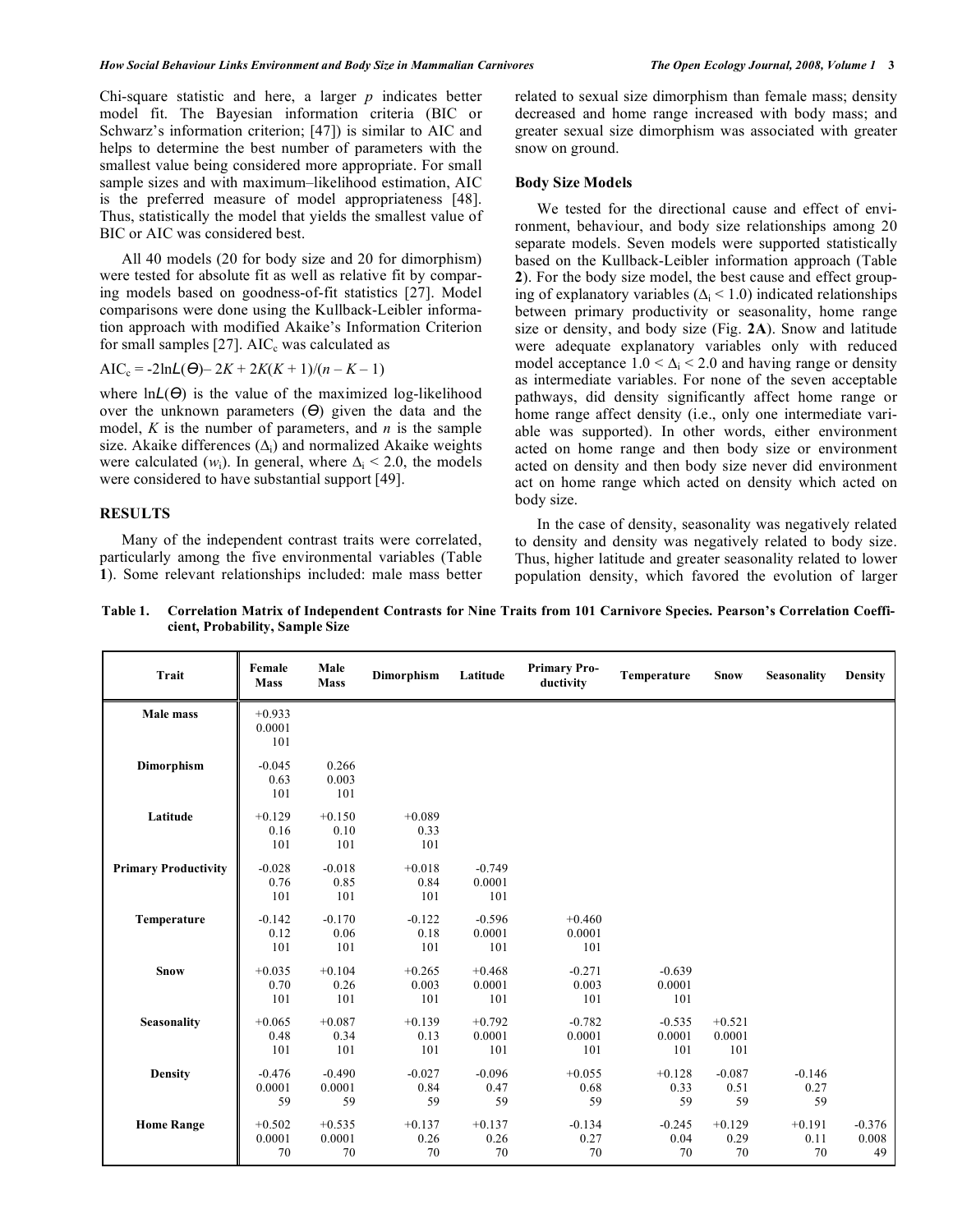Chi-square statistic and here, a larger *p* indicates better model fit. The Bayesian information criteria (BIC or Schwarz's information criterion; [47]) is similar to AIC and helps to determine the best number of parameters with the smallest value being considered more appropriate. For small sample sizes and with maximum–likelihood estimation, AIC is the preferred measure of model appropriateness [48]. Thus, statistically the model that yields the smallest value of BIC or AIC was considered best.

 All 40 models (20 for body size and 20 for dimorphism) were tested for absolute fit as well as relative fit by comparing models based on goodness-of-fit statistics [27]. Model comparisons were done using the Kullback-Leibler information approach with modified Akaike's Information Criterion for small samples  $[27]$ . AIC<sub>c</sub> was calculated as

$$
AIC_c = -2lnL(\Theta) - 2K + 2K(K+1)/(n - K - 1)
$$

where  $\ln L(\Theta)$  is the value of the maximized log-likelihood over the unknown parameters  $(\Theta)$  given the data and the model, *K* is the number of parameters, and *n* is the sample size. Akaike differences  $(\Delta_i)$  and normalized Akaike weights were calculated  $(w_i)$ . In general, where  $\Delta_i$  < 2.0, the models were considered to have substantial support [49].

# **RESULTS**

 Many of the independent contrast traits were correlated, particularly among the five environmental variables (Table **1**). Some relevant relationships included: male mass better related to sexual size dimorphism than female mass; density decreased and home range increased with body mass; and greater sexual size dimorphism was associated with greater snow on ground.

#### **Body Size Models**

 We tested for the directional cause and effect of environment, behaviour, and body size relationships among 20 separate models. Seven models were supported statistically based on the Kullback-Leibler information approach (Table **2**). For the body size model, the best cause and effect grouping of explanatory variables ( $\Delta$ <sub>i</sub> < 1.0) indicated relationships between primary productivity or seasonality, home range size or density, and body size (Fig. **2A**). Snow and latitude were adequate explanatory variables only with reduced model acceptance  $1.0 < \Delta_i < 2.0$  and having range or density as intermediate variables. For none of the seven acceptable pathways, did density significantly affect home range or home range affect density (i.e., only one intermediate variable was supported). In other words, either environment acted on home range and then body size or environment acted on density and then body size never did environment act on home range which acted on density which acted on body size.

 In the case of density, seasonality was negatively related to density and density was negatively related to body size. Thus, higher latitude and greater seasonality related to lower population density, which favored the evolution of larger

| <b>Trait</b>                | Female<br><b>Mass</b>     | Male<br>Mass             | Dimorphism               | Latitude                  | <b>Primary Pro-</b><br>ductivity | Temperature               | <b>Snow</b>               | <b>Seasonality</b>     | <b>Density</b>          |
|-----------------------------|---------------------------|--------------------------|--------------------------|---------------------------|----------------------------------|---------------------------|---------------------------|------------------------|-------------------------|
| Male mass                   | $+0.933$<br>0.0001<br>101 |                          |                          |                           |                                  |                           |                           |                        |                         |
| Dimorphism                  | $-0.045$<br>0.63<br>101   | 0.266<br>0.003<br>101    |                          |                           |                                  |                           |                           |                        |                         |
| Latitude                    | $+0.129$<br>0.16<br>101   | $+0.150$<br>0.10<br>101  | $+0.089$<br>0.33<br>101  |                           |                                  |                           |                           |                        |                         |
| <b>Primary Productivity</b> | $-0.028$<br>0.76<br>101   | $-0.018$<br>0.85<br>101  | $+0.018$<br>0.84<br>101  | $-0.749$<br>0.0001<br>101 |                                  |                           |                           |                        |                         |
| Temperature                 | $-0.142$<br>0.12<br>101   | $-0.170$<br>0.06<br>101  | $-0.122$<br>0.18<br>101  | $-0.596$<br>0.0001<br>101 | $+0.460$<br>0.0001<br>101        |                           |                           |                        |                         |
| Snow                        | $+0.035$<br>0.70<br>101   | $+0.104$<br>0.26<br>101  | $+0.265$<br>0.003<br>101 | $+0.468$<br>0.0001<br>101 | $-0.271$<br>0.003<br>101         | $-0.639$<br>0.0001<br>101 |                           |                        |                         |
| Seasonality                 | $+0.065$<br>0.48<br>101   | $+0.087$<br>0.34<br>101  | $+0.139$<br>0.13<br>101  | $+0.792$<br>0.0001<br>101 | $-0.782$<br>0.0001<br>101        | $-0.535$<br>0.0001<br>101 | $+0.521$<br>0.0001<br>101 |                        |                         |
| <b>Density</b>              | $-0.476$<br>0.0001<br>59  | $-0.490$<br>0.0001<br>59 | $-0.027$<br>0.84<br>59   | $-0.096$<br>0.47<br>59    | $+0.055$<br>0.68<br>59           | $+0.128$<br>0.33<br>59    | $-0.087$<br>0.51<br>59    | $-0.146$<br>0.27<br>59 |                         |
| <b>Home Range</b>           | $+0.502$<br>0.0001<br>70  | $+0.535$<br>0.0001<br>70 | $+0.137$<br>0.26<br>70   | $+0.137$<br>0.26<br>70    | $-0.134$<br>0.27<br>70           | $-0.245$<br>0.04<br>70    | $+0.129$<br>0.29<br>70    | $+0.191$<br>0.11<br>70 | $-0.376$<br>0.008<br>49 |

**Table 1. Correlation Matrix of Independent Contrasts for Nine Traits from 101 Carnivore Species. Pearson's Correlation Coefficient, Probability, Sample Size**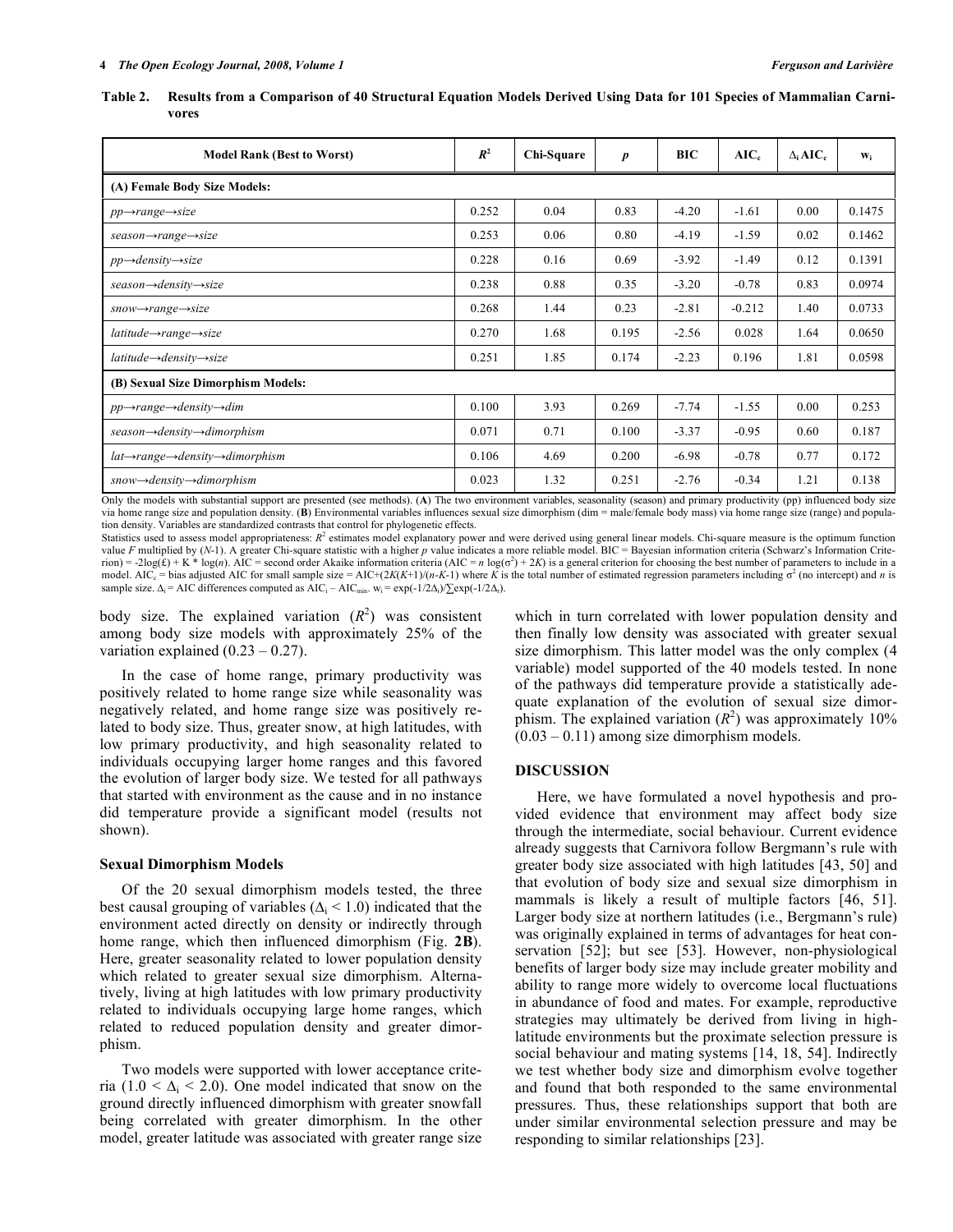| Table 2. Results from a Comparison of 40 Structural Equation Models Derived Using Data for 101 Species of Mammalian Carni- |  |  |  |
|----------------------------------------------------------------------------------------------------------------------------|--|--|--|
| vores                                                                                                                      |  |  |  |

| <b>Model Rank (Best to Worst)</b>                                  |       | Chi-Square | $\boldsymbol{p}$ | BIC     | $AIC_c$  | $\Delta_i$ AIC. | $W_i$  |  |  |
|--------------------------------------------------------------------|-------|------------|------------------|---------|----------|-----------------|--------|--|--|
| (A) Female Body Size Models:                                       |       |            |                  |         |          |                 |        |  |  |
| $pp \rightarrow range \rightarrow size$                            | 0.252 | 0.04       | 0.83             | $-4.20$ | $-1.61$  | 0.00            | 0.1475 |  |  |
| $season \rightarrow range \rightarrow size$                        | 0.253 | 0.06       | 0.80             | $-4.19$ | $-1.59$  | 0.02            | 0.1462 |  |  |
| $pp \rightarrow density \rightarrow size$                          | 0.228 | 0.16       | 0.69             | $-3.92$ | $-1.49$  | 0.12            | 0.1391 |  |  |
| $season \rightarrow density \rightarrow size$                      | 0.238 | 0.88       | 0.35             | $-3.20$ | $-0.78$  | 0.83            | 0.0974 |  |  |
| $snow \rightarrow range \rightarrow size$                          | 0.268 | 1.44       | 0.23             | $-2.81$ | $-0.212$ | 1.40            | 0.0733 |  |  |
| $lattice \rightarrow range \rightarrow size$                       | 0.270 | 1.68       | 0.195            | $-2.56$ | 0.028    | 1.64            | 0.0650 |  |  |
| $lattice \rightarrow density \rightarrow size$                     | 0.251 | 1.85       | 0.174            | $-2.23$ | 0.196    | 1.81            | 0.0598 |  |  |
| (B) Sexual Size Dimorphism Models:                                 |       |            |                  |         |          |                 |        |  |  |
| $pp \rightarrow range \rightarrow density \rightarrow dim$         | 0.100 | 3.93       | 0.269            | $-7.74$ | $-1.55$  | 0.00            | 0.253  |  |  |
| $season \rightarrow density \rightarrow dimorphism$                |       | 0.71       | 0.100            | $-3.37$ | $-0.95$  | 0.60            | 0.187  |  |  |
| $lat \rightarrow range \rightarrow density \rightarrow dimorphism$ |       | 4.69       | 0.200            | $-6.98$ | $-0.78$  | 0.77            | 0.172  |  |  |
| $snow \rightarrow density \rightarrow dimorphism$                  |       | 1.32       | 0.251            | $-2.76$ | $-0.34$  | 1.21            | 0.138  |  |  |

Only the models with substantial support are presented (see methods). (**A**) The two environment variables, seasonality (season) and primary productivity (pp) influenced body size via home range size and population density. (**B**) Environmental variables influences sexual size dimorphism (dim = male/female body mass) via home range size (range) and population density. Variables are standardized contrasts that control for phylogenetic effects.

Statistics used to assess model appropriateness:  $R^2$  estimates model explanatory power and were derived using general linear models. Chi-square measure is the optimum function value *F* multiplied by (*N*-1). A greater Chi-square statistic with a higher *p* value indicates a more reliable model. BIC = Bayesian information criteria (Schwarz's Information Crite $r = -2\log(E) + K^* \log(n)$ . AIC = second order Akaike information criteria (AIC = *n*  $\log(\sigma^2) + 2K$ ) is a general criterion for choosing the best number of parameters to include in a model. AIC<sub>c</sub> = bias adjusted AIC for small sample size = AIC+(2*K*(*K*+1)/(*n*-*K*-1) where *K* is the total number of estimated regression parameters including  $\sigma^2$  (no intercept) and *n* is sample size.  $\Delta_i$  = AIC differences computed as AIC<sub>i</sub> – AIC<sub>min</sub>. w<sub>i</sub> = exp(-1/2 $\Delta_i$ )/ $\sum$ exp(-1/2 $\Delta_i$ ).

body size. The explained variation  $(R^2)$  was consistent among body size models with approximately 25% of the variation explained  $(0.23 - 0.27)$ .

 In the case of home range, primary productivity was positively related to home range size while seasonality was negatively related, and home range size was positively related to body size. Thus, greater snow, at high latitudes, with low primary productivity, and high seasonality related to individuals occupying larger home ranges and this favored the evolution of larger body size. We tested for all pathways that started with environment as the cause and in no instance did temperature provide a significant model (results not shown).

## **Sexual Dimorphism Models**

 Of the 20 sexual dimorphism models tested, the three best causal grouping of variables ( $\Delta$ <sub>i</sub> < 1.0) indicated that the environment acted directly on density or indirectly through home range, which then influenced dimorphism (Fig. **2B**). Here, greater seasonality related to lower population density which related to greater sexual size dimorphism. Alternatively, living at high latitudes with low primary productivity related to individuals occupying large home ranges, which related to reduced population density and greater dimorphism.

 Two models were supported with lower acceptance criteria (1.0 <  $\Delta$ <sub>i</sub> < 2.0). One model indicated that snow on the ground directly influenced dimorphism with greater snowfall being correlated with greater dimorphism. In the other model, greater latitude was associated with greater range size

which in turn correlated with lower population density and then finally low density was associated with greater sexual size dimorphism. This latter model was the only complex (4 variable) model supported of the 40 models tested. In none of the pathways did temperature provide a statistically adequate explanation of the evolution of sexual size dimorphism. The explained variation  $(R^2)$  was approximately 10%  $(0.03 - 0.11)$  among size dimorphism models.

## **DISCUSSION**

 Here, we have formulated a novel hypothesis and provided evidence that environment may affect body size through the intermediate, social behaviour. Current evidence already suggests that Carnivora follow Bergmann's rule with greater body size associated with high latitudes [43, 50] and that evolution of body size and sexual size dimorphism in mammals is likely a result of multiple factors [46, 51]. Larger body size at northern latitudes (i.e., Bergmann's rule) was originally explained in terms of advantages for heat conservation [52]; but see [53]. However, non-physiological benefits of larger body size may include greater mobility and ability to range more widely to overcome local fluctuations in abundance of food and mates. For example, reproductive strategies may ultimately be derived from living in highlatitude environments but the proximate selection pressure is social behaviour and mating systems [14, 18, 54]. Indirectly we test whether body size and dimorphism evolve together and found that both responded to the same environmental pressures. Thus, these relationships support that both are under similar environmental selection pressure and may be responding to similar relationships [23].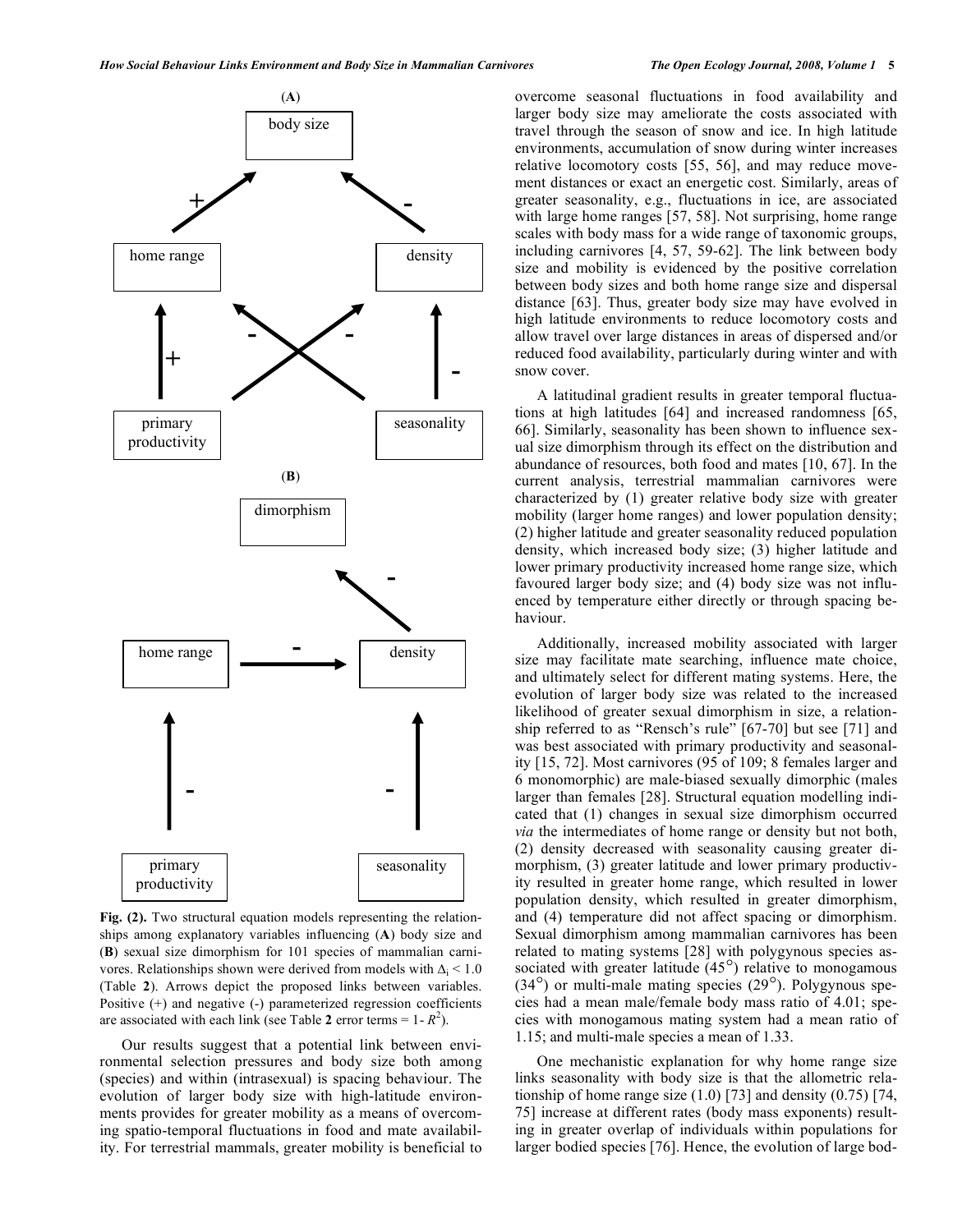

**Fig. (2).** Two structural equation models representing the relationships among explanatory variables influencing (**A**) body size and (**B**) sexual size dimorphism for 101 species of mammalian carnivores. Relationships shown were derived from models with  $\Delta_i$  < 1.0 (Table **2**). Arrows depict the proposed links between variables. Positive (+) and negative (-) parameterized regression coefficients are associated with each link (see Table 2 error terms =  $1 - R^2$ ).

 Our results suggest that a potential link between environmental selection pressures and body size both among (species) and within (intrasexual) is spacing behaviour. The evolution of larger body size with high-latitude environments provides for greater mobility as a means of overcoming spatio-temporal fluctuations in food and mate availability. For terrestrial mammals, greater mobility is beneficial to overcome seasonal fluctuations in food availability and larger body size may ameliorate the costs associated with travel through the season of snow and ice. In high latitude environments, accumulation of snow during winter increases relative locomotory costs [55, 56], and may reduce movement distances or exact an energetic cost. Similarly, areas of greater seasonality, e.g., fluctuations in ice, are associated with large home ranges [57, 58]. Not surprising, home range scales with body mass for a wide range of taxonomic groups, including carnivores [4, 57, 59-62]. The link between body size and mobility is evidenced by the positive correlation between body sizes and both home range size and dispersal distance [63]. Thus, greater body size may have evolved in high latitude environments to reduce locomotory costs and allow travel over large distances in areas of dispersed and/or reduced food availability, particularly during winter and with snow cover.

 A latitudinal gradient results in greater temporal fluctuations at high latitudes [64] and increased randomness [65, 66]. Similarly, seasonality has been shown to influence sexual size dimorphism through its effect on the distribution and abundance of resources, both food and mates [10, 67]. In the current analysis, terrestrial mammalian carnivores were characterized by (1) greater relative body size with greater mobility (larger home ranges) and lower population density; (2) higher latitude and greater seasonality reduced population density, which increased body size; (3) higher latitude and lower primary productivity increased home range size, which favoured larger body size; and (4) body size was not influenced by temperature either directly or through spacing behaviour.

 Additionally, increased mobility associated with larger size may facilitate mate searching, influence mate choice, and ultimately select for different mating systems. Here, the evolution of larger body size was related to the increased likelihood of greater sexual dimorphism in size, a relationship referred to as "Rensch's rule" [67-70] but see [71] and was best associated with primary productivity and seasonality [15, 72]. Most carnivores (95 of 109; 8 females larger and 6 monomorphic) are male-biased sexually dimorphic (males larger than females [28]. Structural equation modelling indicated that (1) changes in sexual size dimorphism occurred *via* the intermediates of home range or density but not both, (2) density decreased with seasonality causing greater dimorphism, (3) greater latitude and lower primary productivity resulted in greater home range, which resulted in lower population density, which resulted in greater dimorphism, and (4) temperature did not affect spacing or dimorphism. Sexual dimorphism among mammalian carnivores has been related to mating systems [28] with polygynous species associated with greater latitude  $(45^{\circ})$  relative to monogamous (34°) or multi-male mating species (29°). Polygynous species had a mean male/female body mass ratio of 4.01; species with monogamous mating system had a mean ratio of 1.15; and multi-male species a mean of 1.33.

 One mechanistic explanation for why home range size links seasonality with body size is that the allometric relationship of home range size  $(1.0)$  [73] and density  $(0.75)$  [74, 75] increase at different rates (body mass exponents) resulting in greater overlap of individuals within populations for larger bodied species [76]. Hence, the evolution of large bod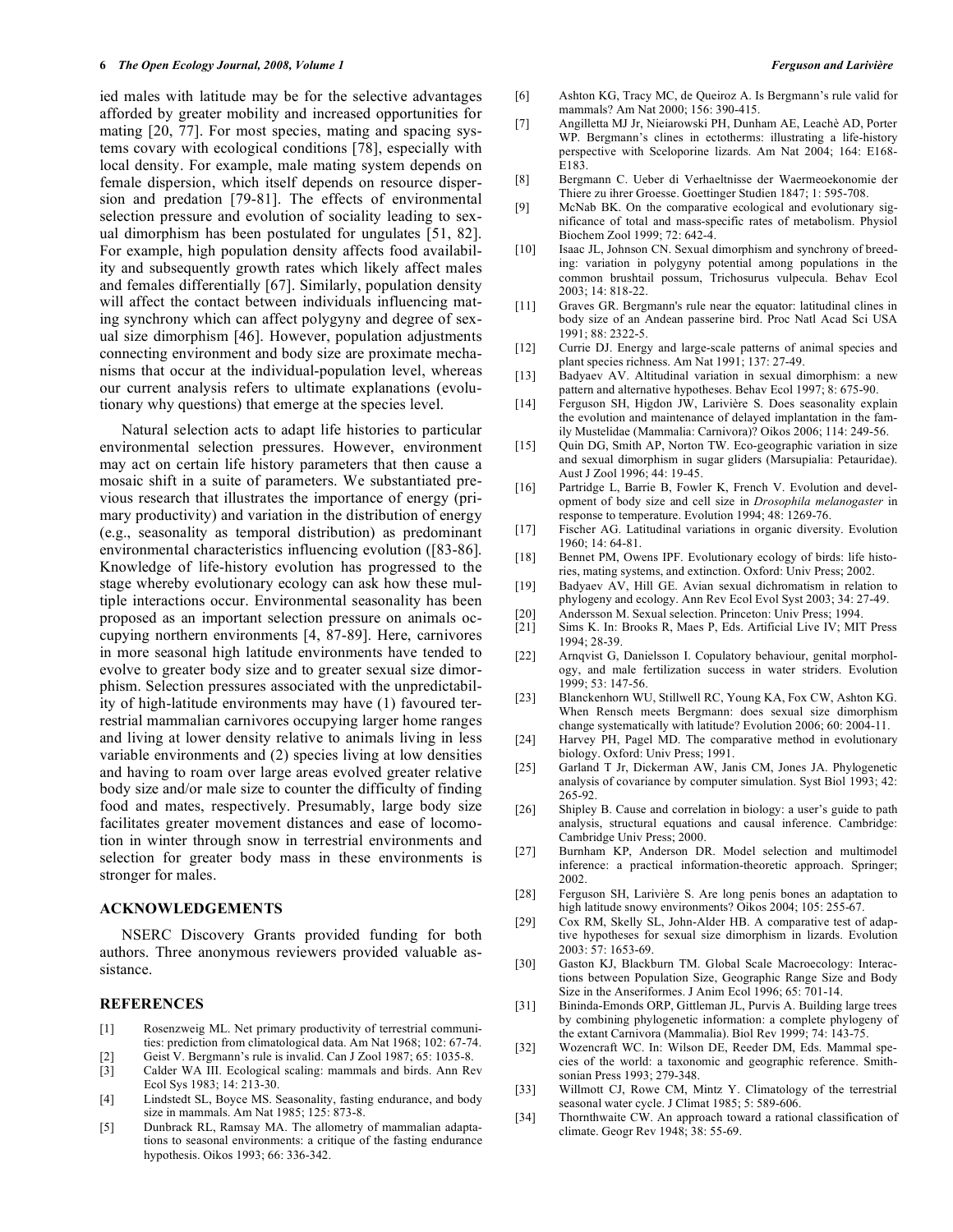ied males with latitude may be for the selective advantages afforded by greater mobility and increased opportunities for mating [20, 77]. For most species, mating and spacing systems covary with ecological conditions [78], especially with local density. For example, male mating system depends on female dispersion, which itself depends on resource dispersion and predation [79-81]. The effects of environmental selection pressure and evolution of sociality leading to sexual dimorphism has been postulated for ungulates [51, 82]. For example, high population density affects food availability and subsequently growth rates which likely affect males and females differentially [67]. Similarly, population density will affect the contact between individuals influencing mating synchrony which can affect polygyny and degree of sexual size dimorphism [46]. However, population adjustments connecting environment and body size are proximate mechanisms that occur at the individual-population level, whereas our current analysis refers to ultimate explanations (evolutionary why questions) that emerge at the species level.

 Natural selection acts to adapt life histories to particular environmental selection pressures. However, environment may act on certain life history parameters that then cause a mosaic shift in a suite of parameters. We substantiated previous research that illustrates the importance of energy (primary productivity) and variation in the distribution of energy (e.g., seasonality as temporal distribution) as predominant environmental characteristics influencing evolution ([83-86]. Knowledge of life-history evolution has progressed to the stage whereby evolutionary ecology can ask how these multiple interactions occur. Environmental seasonality has been proposed as an important selection pressure on animals occupying northern environments [4, 87-89]. Here, carnivores in more seasonal high latitude environments have tended to evolve to greater body size and to greater sexual size dimorphism. Selection pressures associated with the unpredictability of high-latitude environments may have (1) favoured terrestrial mammalian carnivores occupying larger home ranges and living at lower density relative to animals living in less variable environments and (2) species living at low densities and having to roam over large areas evolved greater relative body size and/or male size to counter the difficulty of finding food and mates, respectively. Presumably, large body size facilitates greater movement distances and ease of locomotion in winter through snow in terrestrial environments and selection for greater body mass in these environments is stronger for males.

## **ACKNOWLEDGEMENTS**

 NSERC Discovery Grants provided funding for both authors. Three anonymous reviewers provided valuable assistance.

#### **REFERENCES**

- [1] Rosenzweig ML. Net primary productivity of terrestrial communities: prediction from climatological data. Am Nat 1968; 102: 67-74.
- [2] Geist V. Bergmann's rule is invalid. Can J Zool 1987; 65: 1035-8.
- [3] Calder WA III. Ecological scaling: mammals and birds. Ann Rev Ecol Sys 1983; 14: 213-30.
- [4] Lindstedt SL, Boyce MS. Seasonality, fasting endurance, and body size in mammals. Am Nat 1985; 125: 873-8.
- [5] Dunbrack RL, Ramsay MA. The allometry of mammalian adaptations to seasonal environments: a critique of the fasting endurance hypothesis. Oikos 1993; 66: 336-342.
- [6] Ashton KG, Tracy MC, de Queiroz A. Is Bergmann's rule valid for mammals? Am Nat 2000; 156: 390-415.
- [7] Angilletta MJ Jr, Nieiarowski PH, Dunham AE, Leachè AD, Porter WP. Bergmann's clines in ectotherms: illustrating a life-history perspective with Sceloporine lizards. Am Nat 2004; 164: E168- E183.
- [8] Bergmann C. Ueber di Verhaeltnisse der Waermeoekonomie der Thiere zu ihrer Groesse. Goettinger Studien 1847; 1: 595-708.
- [9] McNab BK. On the comparative ecological and evolutionary significance of total and mass-specific rates of metabolism. Physiol Biochem Zool 1999; 72: 642-4.
- [10] Isaac JL, Johnson CN. Sexual dimorphism and synchrony of breeding: variation in polygyny potential among populations in the common brushtail possum, Trichosurus vulpecula. Behav Ecol 2003; 14: 818-22.
- [11] Graves GR. Bergmann's rule near the equator: latitudinal clines in body size of an Andean passerine bird. Proc Natl Acad Sci USA 1991; 88: 2322-5.
- [12] Currie DJ. Energy and large-scale patterns of animal species and plant species richness. Am Nat 1991; 137: 27-49.
- [13] Badyaev AV. Altitudinal variation in sexual dimorphism: a new pattern and alternative hypotheses. Behav Ecol 1997; 8: 675-90.
- [14] Ferguson SH, Higdon JW, Larivière S. Does seasonality explain the evolution and maintenance of delayed implantation in the family Mustelidae (Mammalia: Carnivora)? Oikos 2006; 114: 249-56.
- [15] Quin DG, Smith AP, Norton TW. Eco-geographic variation in size and sexual dimorphism in sugar gliders (Marsupialia: Petauridae). Aust J Zool 1996; 44: 19-45.
- [16] Partridge L, Barrie B, Fowler K, French V. Evolution and development of body size and cell size in *Drosophila melanogaster* in response to temperature. Evolution 1994; 48: 1269-76.
- [17] Fischer AG. Latitudinal variations in organic diversity. Evolution 1960; 14: 64-81.
- [18] Bennet PM, Owens IPF. Evolutionary ecology of birds: life histories, mating systems, and extinction. Oxford: Univ Press; 2002.
- [19] Badyaev AV, Hill GE. Avian sexual dichromatism in relation to phylogeny and ecology. Ann Rev Ecol Evol Syst 2003; 34: 27-49.
- [20] Andersson M. Sexual selection. Princeton: Univ Press; 1994. Sims K. In: Brooks R, Maes P, Eds. Artificial Live IV; MIT Press 1994; 28-39.
- [22] Arnqvist G, Danielsson I. Copulatory behaviour, genital morphology, and male fertilization success in water striders. Evolution 1999; 53: 147-56.
- [23] Blanckenhorn WU, Stillwell RC, Young KA, Fox CW, Ashton KG. When Rensch meets Bergmann: does sexual size dimorphism change systematically with latitude? Evolution 2006; 60: 2004-11.
- [24] Harvey PH, Pagel MD. The comparative method in evolutionary biology. Oxford: Univ Press; 1991.
- [25] Garland T Jr, Dickerman AW, Janis CM, Jones JA. Phylogenetic analysis of covariance by computer simulation. Syst Biol 1993; 42: 265-92.
- [26] Shipley B. Cause and correlation in biology: a user's guide to path analysis, structural equations and causal inference. Cambridge: Cambridge Univ Press; 2000.
- [27] Burnham KP, Anderson DR. Model selection and multimodel inference: a practical information-theoretic approach. Springer; 2002.
- [28] Ferguson SH, Larivière S. Are long penis bones an adaptation to high latitude snowy environments? Oikos 2004; 105: 255-67.
- [29] Cox RM, Skelly SL, John-Alder HB. A comparative test of adaptive hypotheses for sexual size dimorphism in lizards. Evolution 2003: 57: 1653-69.
- [30] Gaston KJ, Blackburn TM. Global Scale Macroecology: Interactions between Population Size, Geographic Range Size and Body Size in the Anseriformes. J Anim Ecol 1996; 65: 701-14.
- [31] Bininda-Emonds ORP, Gittleman JL, Purvis A. Building large trees by combining phylogenetic information: a complete phylogeny of the extant Carnivora (Mammalia). Biol Rev 1999; 74: 143-75.
- [32] Wozencraft WC. In: Wilson DE, Reeder DM, Eds. Mammal species of the world: a taxonomic and geographic reference. Smithsonian Press 1993; 279-348.
- [33] Willmott CJ, Rowe CM, Mintz Y. Climatology of the terrestrial seasonal water cycle. J Climat 1985; 5: 589-606.
- [34] Thornthwaite CW. An approach toward a rational classification of climate. Geogr Rev 1948; 38: 55-69.